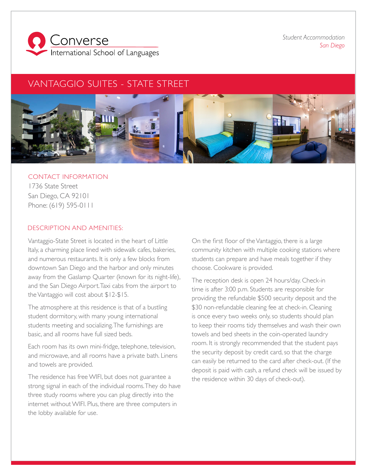

*Student Accommodation San Diego*

## VANTAGGIO SUITES - STATE STREET



## CONTACT INFORMATION 1736 State Street San Diego, CA 92101 Phone: (619) 595-0111

## DESCRIPTION AND AMENITIES:

Vantaggio-State Street is located in the heart of Little Italy, a charming place lined with sidewalk cafes, bakeries, and numerous restaurants. It is only a few blocks from downtown San Diego and the harbor and only minutes away from the Gaslamp Quarter (known for its night-life), and the San Diego Airport. Taxi cabs from the airport to the Vantaggio will cost about \$12-\$15.

The atmosphere at this residence is that of a bustling student dormitory, with many young international students meeting and socializing. The furnishings are basic, and all rooms have full sized beds.

Each room has its own mini-fridge, telephone, television, and microwave, and all rooms have a private bath. Linens and towels are provided.

The residence has free WIFI, but does not guarantee a strong signal in each of the individual rooms. They do have three study rooms where you can plug directly into the internet without WIFI. Plus, there are three computers in the lobby available for use.

On the first floor of the Vantaggio, there is a large community kitchen with multiple cooking stations where students can prepare and have meals together if they choose. Cookware is provided.

The reception desk is open 24 hours/day. Check-in time is after 3:00 p.m. Students are responsible for providing the refundable \$500 security deposit and the \$30 non-refundable cleaning fee at check-in. Cleaning is once every two weeks only, so students should plan to keep their rooms tidy themselves and wash their own towels and bed sheets in the coin-operated laundry room. It is strongly recommended that the student pays the security deposit by credit card, so that the charge can easily be returned to the card after check-out. (If the deposit is paid with cash, a refund check will be issued by the residence within 30 days of check-out).